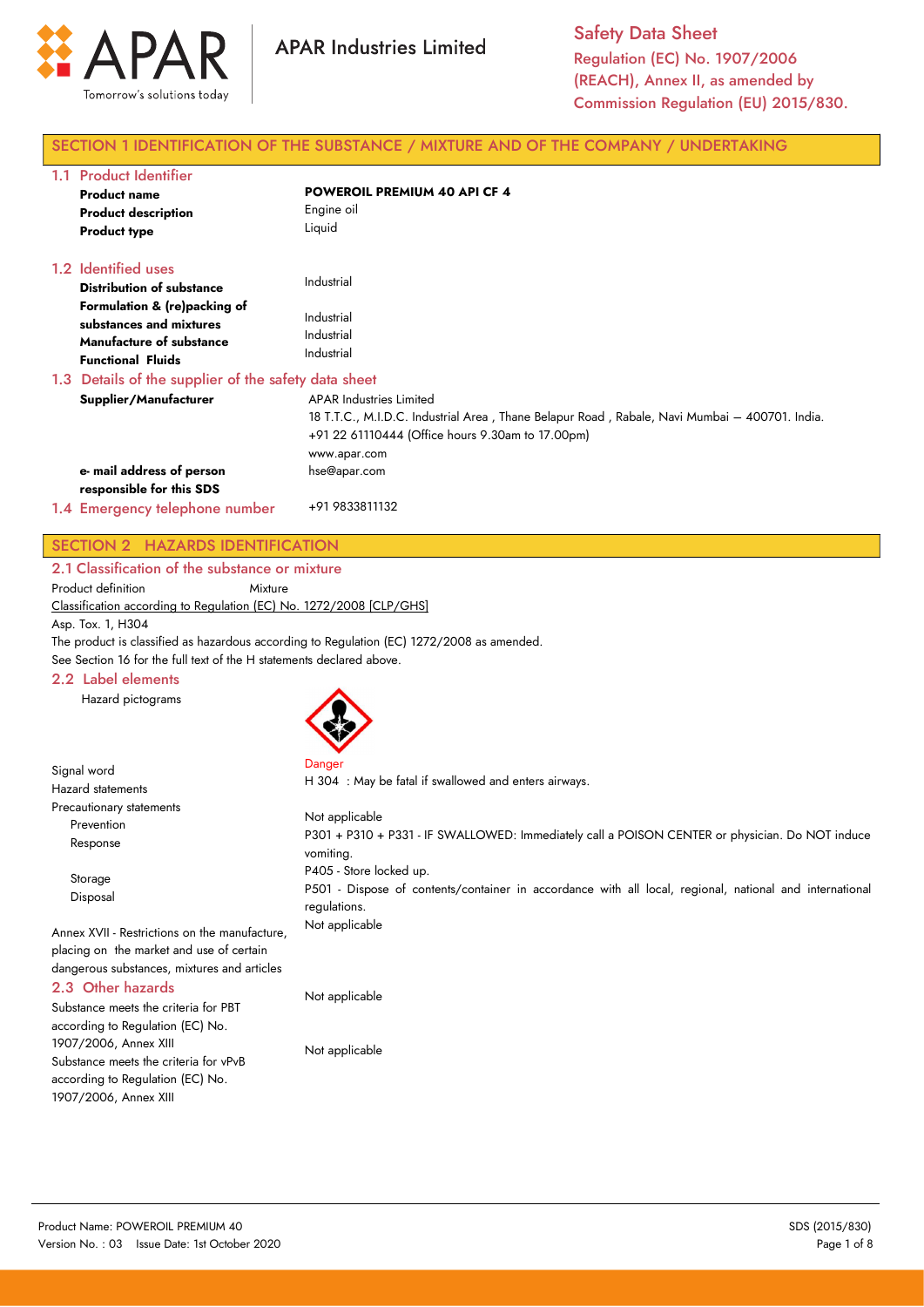

## SECTION 1 IDENTIFICATION OF THE SUBSTANCE / MIXTURE AND OF THE COMPANY / UNDERTAKING

| 1.1 Product Identifier                                                                                                 |                                                                                                                                                                                                       |
|------------------------------------------------------------------------------------------------------------------------|-------------------------------------------------------------------------------------------------------------------------------------------------------------------------------------------------------|
| <b>Product name</b>                                                                                                    | <b>POWEROIL PREMIUM 40 API CF 4</b>                                                                                                                                                                   |
| <b>Product description</b>                                                                                             | Engine oil                                                                                                                                                                                            |
| <b>Product type</b>                                                                                                    | Liquid                                                                                                                                                                                                |
| 1.2 Identified uses                                                                                                    |                                                                                                                                                                                                       |
| <b>Distribution of substance</b>                                                                                       | Industrial                                                                                                                                                                                            |
| Formulation & (re)packing of<br>substances and mixtures<br><b>Manufacture of substance</b><br><b>Functional Fluids</b> | Industrial<br>Industrial<br>Industrial                                                                                                                                                                |
| 1.3 Details of the supplier of the safety data sheet                                                                   |                                                                                                                                                                                                       |
| Supplier/Manufacturer                                                                                                  | <b>APAR Industries Limited</b><br>18 T.T.C., M.I.D.C. Industrial Area , Thane Belapur Road , Rabale, Navi Mumbai – 400701. India.<br>+91 22 61110444 (Office hours 9.30am to 17.00pm)<br>www.apar.com |
| e- mail address of person                                                                                              | hse@apar.com                                                                                                                                                                                          |
| responsible for this SDS                                                                                               |                                                                                                                                                                                                       |
| 1.4 Emergency telephone number                                                                                         | +91 9833811132                                                                                                                                                                                        |

## SECTION 2 HAZARDS IDENTIFICATION 2.1 Classification of the substance or mixture

Product definition Mixture

Classification according to Regulation (EC) No. 1272/2008 [CLP/GHS]

Asp. Tox. 1, H304

Signal word

The product is classified as hazardous according to Regulation (EC) 1272/2008 as amended.

See Section 16 for the full text of the H statements declared above.

### 2.2 Label elements

Hazard pictograms



Danger

H 304 : May be fatal if swallowed and enters airways.

| <b>Hazard statements</b>                                                                                                                 | H SU4, May be failed if swallowed and emers all ways.                                                                                              |
|------------------------------------------------------------------------------------------------------------------------------------------|----------------------------------------------------------------------------------------------------------------------------------------------------|
| Precautionary statements<br>Prevention<br>Response                                                                                       | Not applicable<br>P301 + P310 + P331 - IF SWALLOWED: Immediately call a POISON CENTER or physician. Do NOT induce<br>vomiting.                     |
| Storage<br>Disposal                                                                                                                      | P405 - Store locked up.<br>P501 - Dispose of contents/container in accordance with all local, regional, national and international<br>regulations. |
| Annex XVII - Restrictions on the manufacture,<br>placing on the market and use of certain<br>dangerous substances, mixtures and articles | Not applicable                                                                                                                                     |
| 2.3 Other hazards<br>Substance meets the criteria for PBT                                                                                | Not applicable                                                                                                                                     |

according to Regulation (EC) No. 1907/2006, Annex XIII Substance meets the criteria for vPvB according to Regulation (EC) No. 1907/2006, Annex XIII

Not applicable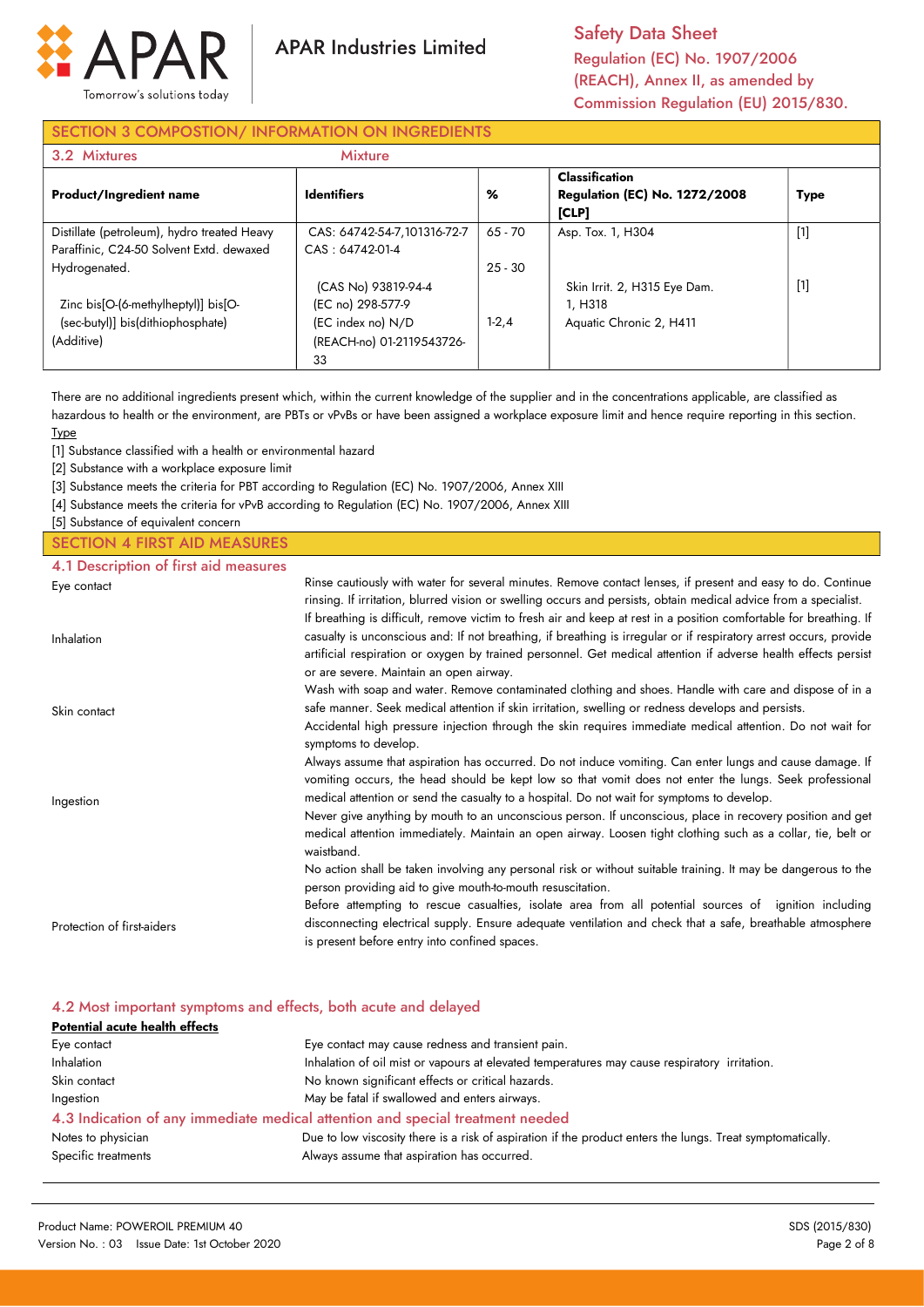

**APAR Industries Limited** 

Safety Data Sheet Regulation (EC) No. 1907/2006 (REACH), Annex II, as amended by Commission Regulation (EU) 2015/830.

# SECTION 3 COMPOSTION/ INFORMATION ON INGREDIENTS

| 3.2 Mixtures                                                                            | <b>Mixture</b>                                 |           |                                                                        |             |
|-----------------------------------------------------------------------------------------|------------------------------------------------|-----------|------------------------------------------------------------------------|-------------|
| <b>Product/Ingredient name</b>                                                          | <b>Identifiers</b>                             | %         | <b>Classification</b><br><b>Regulation (EC) No. 1272/2008</b><br>[CLP] | <b>Type</b> |
| Distillate (petroleum), hydro treated Heavy<br>Paraffinic, C24-50 Solvent Extd. dewaxed | CAS: 64742-54-7,101316-72-7<br>CAS: 64742-01-4 | $65 - 70$ | Asp. Tox. 1, H304                                                      | $[1]$       |
| Hydrogenated.                                                                           | (CAS No) 93819-94-4                            | $25 - 30$ | Skin Irrit. 2, H315 Eye Dam.                                           | $[1]$       |
| Zinc bis[O-(6-methylheptyl)] bis[O-<br>(sec-butyl)] bis(dithiophosphate)                | (EC no) 298-577-9<br>(EC index no) N/D         | $1-2,4$   | 1. H318<br>Aquatic Chronic 2, H411                                     |             |
| (Additive)                                                                              | (REACH-no) 01-2119543726-<br>33                |           |                                                                        |             |

There are no additional ingredients present which, within the current knowledge of the supplier and in the concentrations applicable, are classified as hazardous to health or the environment, are PBTs or vPvBs or have been assigned a workplace exposure limit and hence require reporting in this section. **Type** 

[1] Substance classified with a health or environmental hazard

[2] Substance with a workplace exposure limit

[3] Substance meets the criteria for PBT according to Regulation (EC) No. 1907/2006, Annex XIII

[4] Substance meets the criteria for vPvB according to Regulation (EC) No. 1907/2006, Annex XIII

[5] Substance of equivalent concern

## SECTION 4 FIRST AID MEASURES

4.1 Description of first aid measures

| Rinse cautiously with water for several minutes. Remove contact lenses, if present and easy to do. Continue        |
|--------------------------------------------------------------------------------------------------------------------|
| rinsing. If irritation, blurred vision or swelling occurs and persists, obtain medical advice from a specialist.   |
| If breathing is difficult, remove victim to fresh air and keep at rest in a position comfortable for breathing. If |
| casualty is unconscious and: If not breathing, if breathing is irregular or if respiratory arrest occurs, provide  |
| artificial respiration or oxygen by trained personnel. Get medical attention if adverse health effects persist     |
| or are severe. Maintain an open airway.                                                                            |
| Wash with soap and water. Remove contaminated clothing and shoes. Handle with care and dispose of in a             |
| safe manner. Seek medical attention if skin irritation, swelling or redness develops and persists.                 |
| Accidental high pressure injection through the skin requires immediate medical attention. Do not wait for          |
| symptoms to develop.                                                                                               |
| Always assume that aspiration has occurred. Do not induce vomiting. Can enter lungs and cause damage. If           |
| vomiting occurs, the head should be kept low so that vomit does not enter the lungs. Seek professional             |
| medical attention or send the casualty to a hospital. Do not wait for symptoms to develop.                         |
| Never give anything by mouth to an unconscious person. If unconscious, place in recovery position and get          |
| medical attention immediately. Maintain an open airway. Loosen tight clothing such as a collar, tie, belt or       |
| waistband.                                                                                                         |
| No action shall be taken involving any personal risk or without suitable training. It may be dangerous to the      |
| person providing aid to give mouth-to-mouth resuscitation.                                                         |
| Before attempting to rescue casualties, isolate area from all potential sources of ignition including              |
| disconnecting electrical supply. Ensure adequate ventilation and check that a safe, breathable atmosphere          |
| is present before entry into confined spaces.                                                                      |
|                                                                                                                    |

| 4.2 Most important symptoms and effects, both acute and delayed |                                                                                                            |  |
|-----------------------------------------------------------------|------------------------------------------------------------------------------------------------------------|--|
| Potential acute health effects                                  |                                                                                                            |  |
| Eye contact                                                     | Eye contact may cause redness and transient pain.                                                          |  |
| Inhalation                                                      | Inhalation of oil mist or vapours at elevated temperatures may cause respiratory irritation.               |  |
| Skin contact                                                    | No known significant effects or critical hazards.                                                          |  |
| Ingestion                                                       | May be fatal if swallowed and enters airways.                                                              |  |
|                                                                 | 4.3 Indication of any immediate medical attention and special treatment needed                             |  |
| Notes to physician                                              | Due to low viscosity there is a risk of aspiration if the product enters the lungs. Treat symptomatically. |  |
| Specific treatments                                             | Always assume that aspiration has occurred.                                                                |  |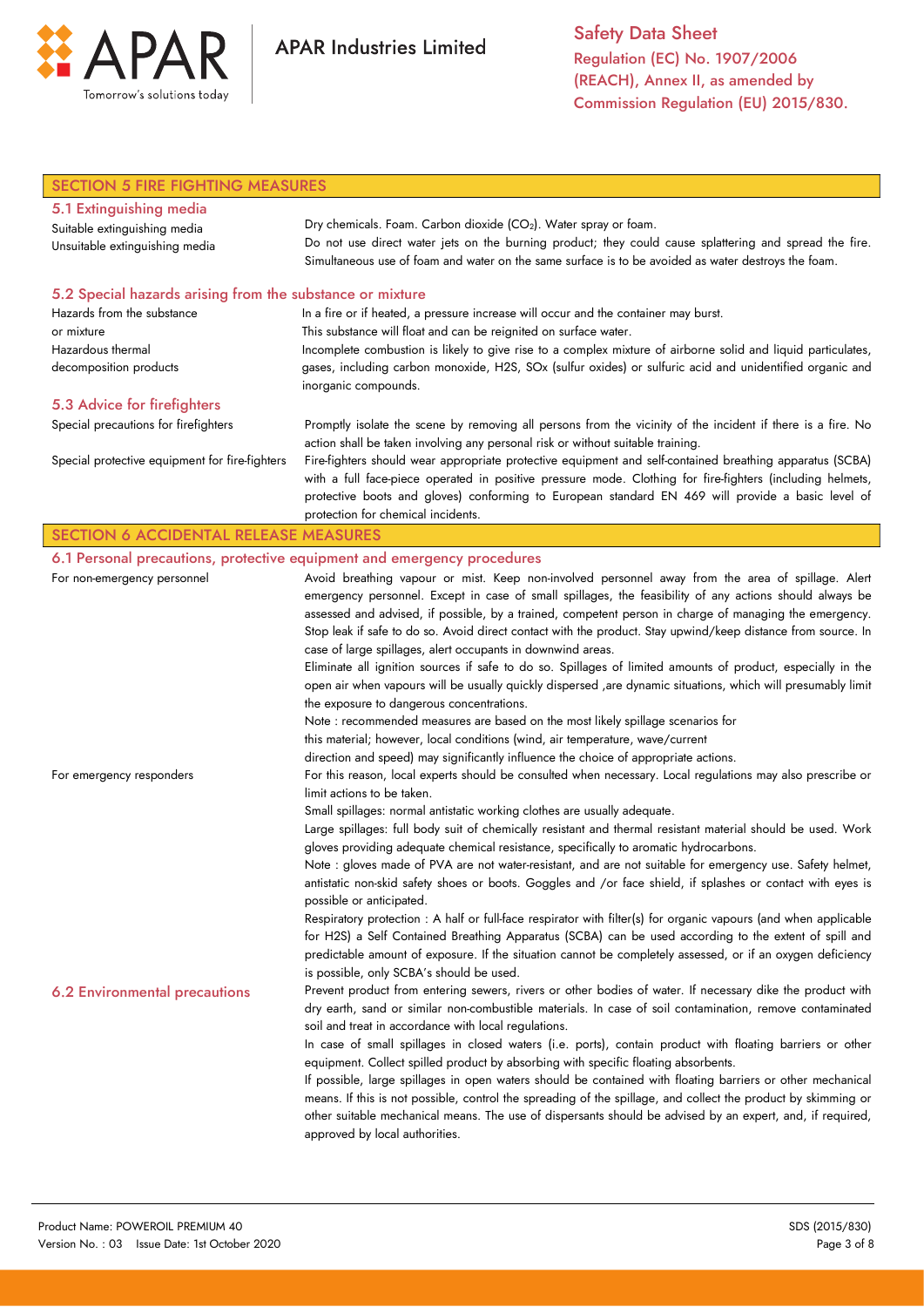

**APAR Industries Limited** 

Safety Data Sheet Regulation (EC) No. 1907/2006 (REACH), Annex II, as amended by Commission Regulation (EU) 2015/830.

| <b>SECTION 5 FIRE FIGHTING MEASURES</b>                   |                                                                                                                                                                                                 |  |
|-----------------------------------------------------------|-------------------------------------------------------------------------------------------------------------------------------------------------------------------------------------------------|--|
| 5.1 Extinguishing media                                   |                                                                                                                                                                                                 |  |
| Suitable extinguishing media                              | Dry chemicals. Foam. Carbon dioxide (CO <sub>2</sub> ). Water spray or foam.                                                                                                                    |  |
| Unsuitable extinguishing media                            | Do not use direct water jets on the burning product; they could cause splattering and spread the fire.                                                                                          |  |
|                                                           | Simultaneous use of foam and water on the same surface is to be avoided as water destroys the foam.                                                                                             |  |
| 5.2 Special hazards arising from the substance or mixture |                                                                                                                                                                                                 |  |
| Hazards from the substance                                | In a fire or if heated, a pressure increase will occur and the container may burst.                                                                                                             |  |
| or mixture                                                | This substance will float and can be reignited on surface water.                                                                                                                                |  |
| Hazardous thermal                                         | Incomplete combustion is likely to give rise to a complex mixture of airborne solid and liquid particulates,                                                                                    |  |
| decomposition products                                    | gases, including carbon monoxide, H2S, SOx (sulfur oxides) or sulfuric acid and unidentified organic and<br>inorganic compounds.                                                                |  |
| 5.3 Advice for firefighters                               |                                                                                                                                                                                                 |  |
| Special precautions for firefighters                      | Promptly isolate the scene by removing all persons from the vicinity of the incident if there is a fire. No                                                                                     |  |
|                                                           | action shall be taken involving any personal risk or without suitable training.                                                                                                                 |  |
| Special protective equipment for fire-fighters            | Fire-fighters should wear appropriate protective equipment and self-contained breathing apparatus (SCBA)                                                                                        |  |
|                                                           | with a full face-piece operated in positive pressure mode. Clothing for fire-fighters (including helmets,                                                                                       |  |
|                                                           | protective boots and gloves) conforming to European standard EN 469 will provide a basic level of                                                                                               |  |
|                                                           | protection for chemical incidents.                                                                                                                                                              |  |
| <b>SECTION 6 ACCIDENTAL RELEASE MEASURES</b>              |                                                                                                                                                                                                 |  |
|                                                           | 6.1 Personal precautions, protective equipment and emergency procedures                                                                                                                         |  |
| For non-emergency personnel                               | Avoid breathing vapour or mist. Keep non-involved personnel away from the area of spillage. Alert                                                                                               |  |
|                                                           | emergency personnel. Except in case of small spillages, the feasibility of any actions should always be                                                                                         |  |
|                                                           | assessed and advised, if possible, by a trained, competent person in charge of managing the emergency.                                                                                          |  |
|                                                           | Stop leak if safe to do so. Avoid direct contact with the product. Stay upwind/keep distance from source. In                                                                                    |  |
|                                                           | case of large spillages, alert occupants in downwind areas.                                                                                                                                     |  |
|                                                           | Eliminate all ignition sources if safe to do so. Spillages of limited amounts of product, especially in the                                                                                     |  |
|                                                           | open air when vapours will be usually quickly dispersed ,are dynamic situations, which will presumably limit                                                                                    |  |
|                                                           | the exposure to dangerous concentrations.<br>Note : recommended measures are based on the most likely spillage scenarios for                                                                    |  |
|                                                           | this material; however, local conditions (wind, air temperature, wave/current                                                                                                                   |  |
|                                                           | direction and speed) may significantly influence the choice of appropriate actions.                                                                                                             |  |
| For emergency responders                                  | For this reason, local experts should be consulted when necessary. Local regulations may also prescribe or                                                                                      |  |
|                                                           | limit actions to be taken.                                                                                                                                                                      |  |
|                                                           | Small spillages: normal antistatic working clothes are usually adequate.                                                                                                                        |  |
|                                                           | Large spillages: full body suit of chemically resistant and thermal resistant material should be used. Work                                                                                     |  |
|                                                           | gloves providing adequate chemical resistance, specifically to aromatic hydrocarbons.                                                                                                           |  |
|                                                           | Note : gloves made of PVA are not water-resistant, and are not suitable for emergency use. Safety helmet,                                                                                       |  |
|                                                           | antistatic non-skid safety shoes or boots. Goggles and /or face shield, if splashes or contact with eyes is                                                                                     |  |
|                                                           | possible or anticipated.                                                                                                                                                                        |  |
|                                                           | Respiratory protection : A half or full-face respirator with filter(s) for organic vapours (and when applicable                                                                                 |  |
|                                                           | for H2S) a Self Contained Breathing Apparatus (SCBA) can be used according to the extent of spill and                                                                                           |  |
|                                                           | predictable amount of exposure. If the situation cannot be completely assessed, or if an oxygen deficiency                                                                                      |  |
|                                                           | is possible, only SCBA's should be used.                                                                                                                                                        |  |
| 6.2 Environmental precautions                             | Prevent product from entering sewers, rivers or other bodies of water. If necessary dike the product with                                                                                       |  |
|                                                           | dry earth, sand or similar non-combustible materials. In case of soil contamination, remove contaminated                                                                                        |  |
|                                                           | soil and treat in accordance with local regulations.                                                                                                                                            |  |
|                                                           | In case of small spillages in closed waters (i.e. ports), contain product with floating barriers or other<br>equipment. Collect spilled product by absorbing with specific floating absorbents. |  |
|                                                           | If possible, large spillages in open waters should be contained with floating barriers or other mechanical                                                                                      |  |
|                                                           | means. If this is not possible, control the spreading of the spillage, and collect the product by skimming or                                                                                   |  |
|                                                           | other suitable mechanical means. The use of dispersants should be advised by an expert, and, if required,                                                                                       |  |
|                                                           | approved by local authorities.                                                                                                                                                                  |  |
|                                                           |                                                                                                                                                                                                 |  |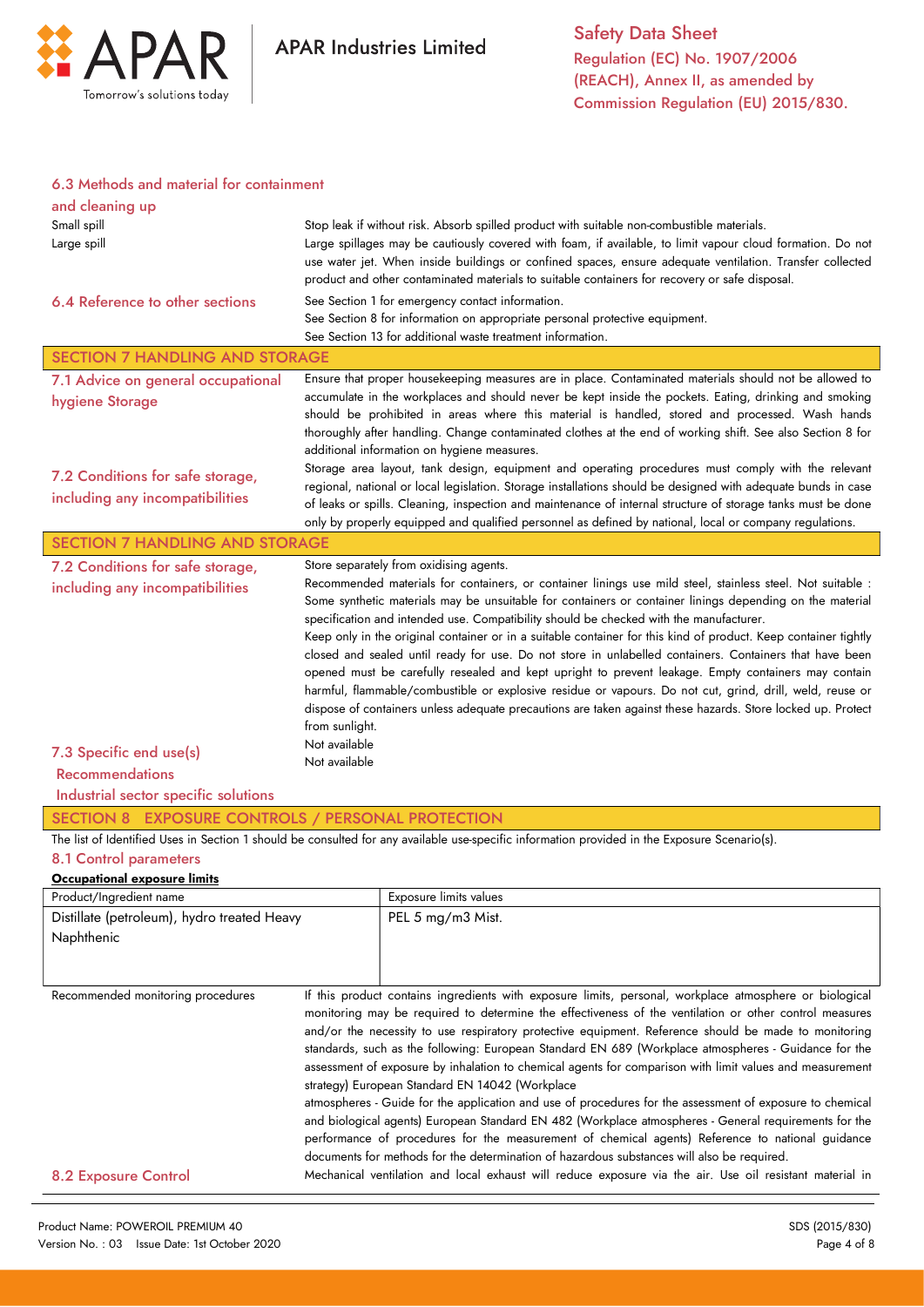

### 6.3 Methods and material for containment

| and cleaning up<br>Small spill<br>Large spill<br>6.4 Reference to other sections                                                                                 | Stop leak if without risk. Absorb spilled product with suitable non-combustible materials.<br>Large spillages may be cautiously covered with foam, if available, to limit vapour cloud formation. Do not<br>use water jet. When inside buildings or confined spaces, ensure adequate ventilation. Transfer collected<br>product and other contaminated materials to suitable containers for recovery or safe disposal.<br>See Section 1 for emergency contact information.<br>See Section 8 for information on appropriate personal protective equipment.<br>See Section 13 for additional waste treatment information.                                                                                                                                                                                                                                                                                                                                                         |                                                                                                                                                                                                                                                                                                                                                                                                                                                                                                                                                                                                                                                                                                                                                                                                                                                                                                                                                                                                                                                                                                                                     |  |
|------------------------------------------------------------------------------------------------------------------------------------------------------------------|---------------------------------------------------------------------------------------------------------------------------------------------------------------------------------------------------------------------------------------------------------------------------------------------------------------------------------------------------------------------------------------------------------------------------------------------------------------------------------------------------------------------------------------------------------------------------------------------------------------------------------------------------------------------------------------------------------------------------------------------------------------------------------------------------------------------------------------------------------------------------------------------------------------------------------------------------------------------------------|-------------------------------------------------------------------------------------------------------------------------------------------------------------------------------------------------------------------------------------------------------------------------------------------------------------------------------------------------------------------------------------------------------------------------------------------------------------------------------------------------------------------------------------------------------------------------------------------------------------------------------------------------------------------------------------------------------------------------------------------------------------------------------------------------------------------------------------------------------------------------------------------------------------------------------------------------------------------------------------------------------------------------------------------------------------------------------------------------------------------------------------|--|
| <b>SECTION 7 HANDLING AND STORAGE</b>                                                                                                                            |                                                                                                                                                                                                                                                                                                                                                                                                                                                                                                                                                                                                                                                                                                                                                                                                                                                                                                                                                                                 |                                                                                                                                                                                                                                                                                                                                                                                                                                                                                                                                                                                                                                                                                                                                                                                                                                                                                                                                                                                                                                                                                                                                     |  |
| 7.1 Advice on general occupational<br>hygiene Storage                                                                                                            |                                                                                                                                                                                                                                                                                                                                                                                                                                                                                                                                                                                                                                                                                                                                                                                                                                                                                                                                                                                 | Ensure that proper housekeeping measures are in place. Contaminated materials should not be allowed to<br>accumulate in the workplaces and should never be kept inside the pockets. Eating, drinking and smoking<br>should be prohibited in areas where this material is handled, stored and processed. Wash hands<br>thoroughly after handling. Change contaminated clothes at the end of working shift. See also Section 8 for<br>additional information on hygiene measures.                                                                                                                                                                                                                                                                                                                                                                                                                                                                                                                                                                                                                                                     |  |
| 7.2 Conditions for safe storage,<br>including any incompatibilities                                                                                              |                                                                                                                                                                                                                                                                                                                                                                                                                                                                                                                                                                                                                                                                                                                                                                                                                                                                                                                                                                                 | Storage area layout, tank design, equipment and operating procedures must comply with the relevant<br>regional, national or local legislation. Storage installations should be designed with adequate bunds in case<br>of leaks or spills. Cleaning, inspection and maintenance of internal structure of storage tanks must be done<br>only by properly equipped and qualified personnel as defined by national, local or company regulations.                                                                                                                                                                                                                                                                                                                                                                                                                                                                                                                                                                                                                                                                                      |  |
| <b>SECTION 7 HANDLING AND STORAGE</b>                                                                                                                            |                                                                                                                                                                                                                                                                                                                                                                                                                                                                                                                                                                                                                                                                                                                                                                                                                                                                                                                                                                                 |                                                                                                                                                                                                                                                                                                                                                                                                                                                                                                                                                                                                                                                                                                                                                                                                                                                                                                                                                                                                                                                                                                                                     |  |
| 7.2 Conditions for safe storage,<br>including any incompatibilities<br>7.3 Specific end use(s)<br><b>Recommendations</b><br>Industrial sector specific solutions | Store separately from oxidising agents.<br>Recommended materials for containers, or container linings use mild steel, stainless steel. Not suitable :<br>Some synthetic materials may be unsuitable for containers or container linings depending on the material<br>specification and intended use. Compatibility should be checked with the manufacturer.<br>Keep only in the original container or in a suitable container for this kind of product. Keep container tightly<br>closed and sealed until ready for use. Do not store in unlabelled containers. Containers that have been<br>opened must be carefully resealed and kept upright to prevent leakage. Empty containers may contain<br>harmful, flammable/combustible or explosive residue or vapours. Do not cut, grind, drill, weld, reuse or<br>dispose of containers unless adequate precautions are taken against these hazards. Store locked up. Protect<br>from sunlight.<br>Not available<br>Not available |                                                                                                                                                                                                                                                                                                                                                                                                                                                                                                                                                                                                                                                                                                                                                                                                                                                                                                                                                                                                                                                                                                                                     |  |
| SECTION 8 EXPOSURE CONTROLS / PERSONAL PROTECTION                                                                                                                |                                                                                                                                                                                                                                                                                                                                                                                                                                                                                                                                                                                                                                                                                                                                                                                                                                                                                                                                                                                 |                                                                                                                                                                                                                                                                                                                                                                                                                                                                                                                                                                                                                                                                                                                                                                                                                                                                                                                                                                                                                                                                                                                                     |  |
| 8.1 Control parameters<br>Occupational exposure limits                                                                                                           |                                                                                                                                                                                                                                                                                                                                                                                                                                                                                                                                                                                                                                                                                                                                                                                                                                                                                                                                                                                 | The list of Identified Uses in Section 1 should be consulted for any available use-specific information provided in the Exposure Scenario(s).                                                                                                                                                                                                                                                                                                                                                                                                                                                                                                                                                                                                                                                                                                                                                                                                                                                                                                                                                                                       |  |
| Product/Ingredient name                                                                                                                                          |                                                                                                                                                                                                                                                                                                                                                                                                                                                                                                                                                                                                                                                                                                                                                                                                                                                                                                                                                                                 | Exposure limits values                                                                                                                                                                                                                                                                                                                                                                                                                                                                                                                                                                                                                                                                                                                                                                                                                                                                                                                                                                                                                                                                                                              |  |
| Distillate (petroleum), hydro treated Heavy<br>Naphthenic                                                                                                        |                                                                                                                                                                                                                                                                                                                                                                                                                                                                                                                                                                                                                                                                                                                                                                                                                                                                                                                                                                                 | PEL 5 mg/m3 Mist.                                                                                                                                                                                                                                                                                                                                                                                                                                                                                                                                                                                                                                                                                                                                                                                                                                                                                                                                                                                                                                                                                                                   |  |
| Recommended monitoring procedures<br><b>8.2 Exposure Control</b>                                                                                                 |                                                                                                                                                                                                                                                                                                                                                                                                                                                                                                                                                                                                                                                                                                                                                                                                                                                                                                                                                                                 | If this product contains ingredients with exposure limits, personal, workplace atmosphere or biological<br>monitoring may be required to determine the effectiveness of the ventilation or other control measures<br>and/or the necessity to use respiratory protective equipment. Reference should be made to monitoring<br>standards, such as the following: European Standard EN 689 (Workplace atmospheres - Guidance for the<br>assessment of exposure by inhalation to chemical agents for comparison with limit values and measurement<br>strategy) European Standard EN 14042 (Workplace<br>atmospheres - Guide for the application and use of procedures for the assessment of exposure to chemical<br>and biological agents) European Standard EN 482 (Workplace atmospheres - General requirements for the<br>performance of procedures for the measurement of chemical agents) Reference to national guidance<br>documents for methods for the determination of hazardous substances will also be required.<br>Mechanical ventilation and local exhaust will reduce exposure via the air. Use oil resistant material in |  |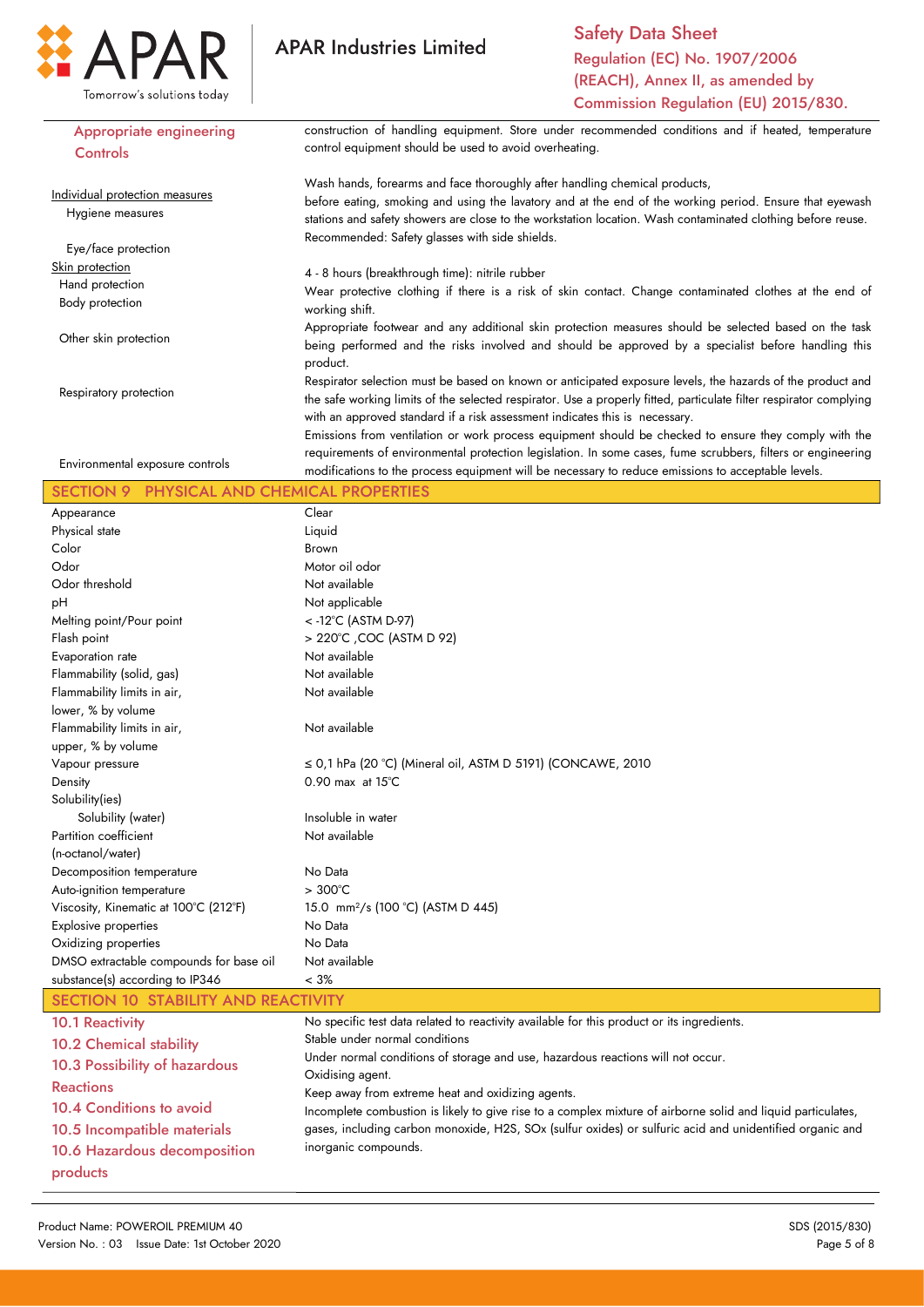

**APAR Industries Limited** 

Safety Data Sheet Regulation (EC) No. 1907/2006 (REACH), Annex II, as amended by Commission Regulation (EU) 2015/830.

| <b>Appropriate engineering</b>                       | construction of handling equipment. Store under recommended conditions and if heated, temperature                                                                                                                                                                                                                                                                                                                        |
|------------------------------------------------------|--------------------------------------------------------------------------------------------------------------------------------------------------------------------------------------------------------------------------------------------------------------------------------------------------------------------------------------------------------------------------------------------------------------------------|
| Controls                                             | control equipment should be used to avoid overheating.                                                                                                                                                                                                                                                                                                                                                                   |
| Individual protection measures<br>Hygiene measures   | Wash hands, forearms and face thoroughly after handling chemical products,<br>before eating, smoking and using the lavatory and at the end of the working period. Ensure that eyewash<br>stations and safety showers are close to the workstation location. Wash contaminated clothing before reuse.                                                                                                                     |
|                                                      | Recommended: Safety glasses with side shields.                                                                                                                                                                                                                                                                                                                                                                           |
| Eye/face protection                                  |                                                                                                                                                                                                                                                                                                                                                                                                                          |
| Skin protection                                      | 4 - 8 hours (breakthrough time): nitrile rubber                                                                                                                                                                                                                                                                                                                                                                          |
| Hand protection                                      | Wear protective clothing if there is a risk of skin contact. Change contaminated clothes at the end of                                                                                                                                                                                                                                                                                                                   |
| Body protection                                      | working shift.                                                                                                                                                                                                                                                                                                                                                                                                           |
| Other skin protection                                | Appropriate footwear and any additional skin protection measures should be selected based on the task<br>being performed and the risks involved and should be approved by a specialist before handling this<br>product.                                                                                                                                                                                                  |
| Respiratory protection                               | Respirator selection must be based on known or anticipated exposure levels, the hazards of the product and<br>the safe working limits of the selected respirator. Use a properly fitted, particulate filter respirator complying<br>with an approved standard if a risk assessment indicates this is necessary.<br>Emissions from ventilation or work process equipment should be checked to ensure they comply with the |
|                                                      | requirements of environmental protection legislation. In some cases, fume scrubbers, filters or engineering                                                                                                                                                                                                                                                                                                              |
| Environmental exposure controls                      | modifications to the process equipment will be necessary to reduce emissions to acceptable levels.                                                                                                                                                                                                                                                                                                                       |
| PHYSICAL AND CHEMICAL PROPERTIES<br><b>SECTION 9</b> |                                                                                                                                                                                                                                                                                                                                                                                                                          |
| Appearance                                           | Clear                                                                                                                                                                                                                                                                                                                                                                                                                    |
| Physical state                                       | Liquid                                                                                                                                                                                                                                                                                                                                                                                                                   |
| Color                                                | <b>Brown</b>                                                                                                                                                                                                                                                                                                                                                                                                             |
| Odor                                                 | Motor oil odor                                                                                                                                                                                                                                                                                                                                                                                                           |
| Odor threshold                                       | Not available                                                                                                                                                                                                                                                                                                                                                                                                            |
| pH                                                   | Not applicable                                                                                                                                                                                                                                                                                                                                                                                                           |
| Melting point/Pour point                             | < -12°C (ASTM D-97)                                                                                                                                                                                                                                                                                                                                                                                                      |
| Flash point                                          | > 220°C , COC (ASTM D 92)                                                                                                                                                                                                                                                                                                                                                                                                |
| Evaporation rate                                     | Not available                                                                                                                                                                                                                                                                                                                                                                                                            |
| Flammability (solid, gas)                            | Not available                                                                                                                                                                                                                                                                                                                                                                                                            |
| Flammability limits in air,                          | Not available                                                                                                                                                                                                                                                                                                                                                                                                            |
| lower, % by volume                                   |                                                                                                                                                                                                                                                                                                                                                                                                                          |
| Flammability limits in air,                          | Not available                                                                                                                                                                                                                                                                                                                                                                                                            |
| upper, % by volume                                   |                                                                                                                                                                                                                                                                                                                                                                                                                          |
| Vapour pressure                                      | $\leq$ 0,1 hPa (20 °C) (Mineral oil, ASTM D 5191) (CONCAWE, 2010                                                                                                                                                                                                                                                                                                                                                         |
| Density                                              | $0.90$ max at $15^{\circ}$ C                                                                                                                                                                                                                                                                                                                                                                                             |
| Solubility(ies)                                      |                                                                                                                                                                                                                                                                                                                                                                                                                          |
| Solubility (water)                                   | Insoluble in water                                                                                                                                                                                                                                                                                                                                                                                                       |
| Partition coefficient                                | Not available                                                                                                                                                                                                                                                                                                                                                                                                            |
| (n-octanol/water)                                    |                                                                                                                                                                                                                                                                                                                                                                                                                          |
| Decomposition temperature                            | No Data                                                                                                                                                                                                                                                                                                                                                                                                                  |
| Auto-ignition temperature                            | $>300^{\circ}$ C                                                                                                                                                                                                                                                                                                                                                                                                         |
| Viscosity, Kinematic at 100°C (212°F)                | 15.0 mm <sup>2</sup> /s (100 °C) (ASTM D 445)                                                                                                                                                                                                                                                                                                                                                                            |
| <b>Explosive properties</b>                          | No Data                                                                                                                                                                                                                                                                                                                                                                                                                  |
| Oxidizing properties                                 | No Data                                                                                                                                                                                                                                                                                                                                                                                                                  |
| DMSO extractable compounds for base oil              | Not available                                                                                                                                                                                                                                                                                                                                                                                                            |
| substance(s) according to IP346                      | $< 3\%$                                                                                                                                                                                                                                                                                                                                                                                                                  |
| SECTION 10 STABILITY AND REACTIVITY                  |                                                                                                                                                                                                                                                                                                                                                                                                                          |
| <b>10.1 Reactivity</b>                               | No specific test data related to reactivity available for this product or its ingredients.                                                                                                                                                                                                                                                                                                                               |
| <b>10.2 Chemical stability</b>                       | Stable under normal conditions                                                                                                                                                                                                                                                                                                                                                                                           |
| 10.3 Possibility of hazardous                        | Under normal conditions of storage and use, hazardous reactions will not occur.                                                                                                                                                                                                                                                                                                                                          |
|                                                      | Oxidising agent.                                                                                                                                                                                                                                                                                                                                                                                                         |
| <b>Reactions</b>                                     | Keep away from extreme heat and oxidizing agents.                                                                                                                                                                                                                                                                                                                                                                        |
| 10.4 Conditions to avoid                             | Incomplete combustion is likely to give rise to a complex mixture of airborne solid and liquid particulates,                                                                                                                                                                                                                                                                                                             |
| 10.5 Incompatible materials                          | gases, including carbon monoxide, H2S, SOx (sulfur oxides) or sulfuric acid and unidentified organic and                                                                                                                                                                                                                                                                                                                 |
| 10.6 Hazardous decomposition                         | inorganic compounds.                                                                                                                                                                                                                                                                                                                                                                                                     |
| products                                             |                                                                                                                                                                                                                                                                                                                                                                                                                          |
|                                                      |                                                                                                                                                                                                                                                                                                                                                                                                                          |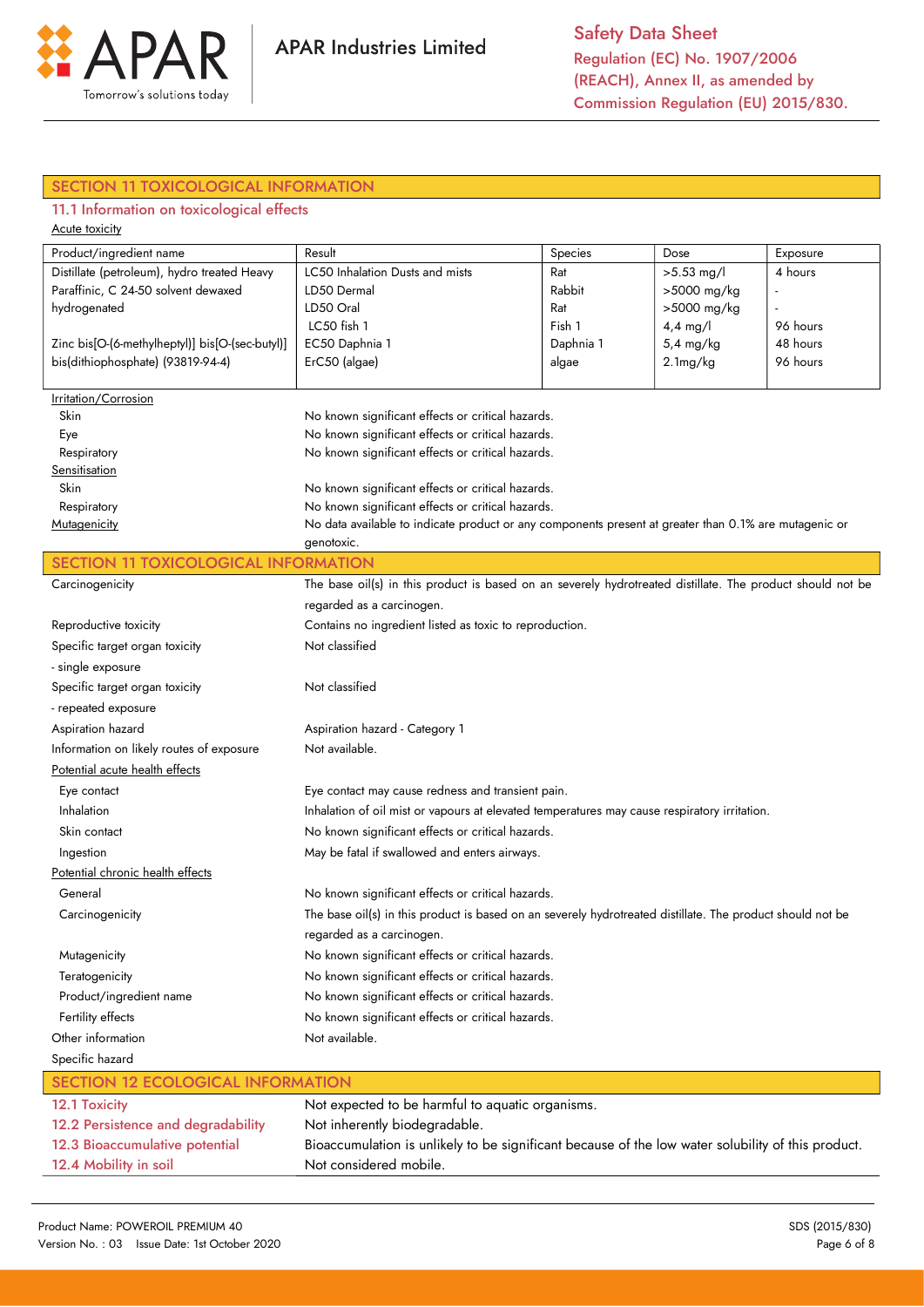

## SECTION 11 TOXICOLOGICAL INFORMATION

## 11.1 Information on toxicological effects

| Acute toxicity                                  |                                                                                                            |           |              |          |
|-------------------------------------------------|------------------------------------------------------------------------------------------------------------|-----------|--------------|----------|
| Product/ingredient name                         | Result                                                                                                     | Species   | Dose         | Exposure |
| Distillate (petroleum), hydro treated Heavy     | LC50 Inhalation Dusts and mists                                                                            | Rat       | $>5.53$ mg/l | 4 hours  |
| Paraffinic, C 24-50 solvent dewaxed             | LD50 Dermal                                                                                                | Rabbit    | >5000 mg/kg  |          |
| hydrogenated                                    | LD50 Oral                                                                                                  | Rat       | >5000 mg/kg  |          |
|                                                 | LC50 fish 1                                                                                                | Fish 1    | $4,4$ mg/l   | 96 hours |
| Zinc bis[O-(6-methylheptyl)] bis[O-(sec-butyl)] | EC50 Daphnia 1                                                                                             | Daphnia 1 | 5,4 mg/kg    | 48 hours |
| bis(dithiophosphate) (93819-94-4)               | ErC50 (algae)                                                                                              | algae     | 2.1mg/kg     | 96 hours |
|                                                 |                                                                                                            |           |              |          |
| Irritation/Corrosion<br>Skin                    |                                                                                                            |           |              |          |
| Eye                                             | No known significant effects or critical hazards.<br>No known significant effects or critical hazards.     |           |              |          |
| Respiratory                                     | No known significant effects or critical hazards.                                                          |           |              |          |
| Sensitisation                                   |                                                                                                            |           |              |          |
| Skin                                            | No known significant effects or critical hazards.                                                          |           |              |          |
| Respiratory                                     | No known significant effects or critical hazards.                                                          |           |              |          |
| Mutagenicity                                    | No data available to indicate product or any components present at greater than 0.1% are mutagenic or      |           |              |          |
|                                                 | genotoxic.                                                                                                 |           |              |          |
| <b>SECTION 11 TOXICOLOGICAL INFORMATION</b>     |                                                                                                            |           |              |          |
| Carcinogenicity                                 | The base oil(s) in this product is based on an severely hydrotreated distillate. The product should not be |           |              |          |
|                                                 | regarded as a carcinogen.                                                                                  |           |              |          |
| Reproductive toxicity                           | Contains no ingredient listed as toxic to reproduction.                                                    |           |              |          |
| Specific target organ toxicity                  | Not classified                                                                                             |           |              |          |
| - single exposure                               |                                                                                                            |           |              |          |
| Specific target organ toxicity                  | Not classified                                                                                             |           |              |          |
| - repeated exposure                             |                                                                                                            |           |              |          |
| Aspiration hazard                               | Aspiration hazard - Category 1                                                                             |           |              |          |
| Information on likely routes of exposure        | Not available.                                                                                             |           |              |          |
| Potential acute health effects                  |                                                                                                            |           |              |          |
| Eye contact                                     | Eye contact may cause redness and transient pain.                                                          |           |              |          |
| Inhalation                                      | Inhalation of oil mist or vapours at elevated temperatures may cause respiratory irritation.               |           |              |          |
| Skin contact                                    | No known significant effects or critical hazards.                                                          |           |              |          |
| Ingestion                                       | May be fatal if swallowed and enters airways.                                                              |           |              |          |
| Potential chronic health effects                |                                                                                                            |           |              |          |
| General                                         | No known significant effects or critical hazards.                                                          |           |              |          |
| Carcinogenicity                                 | The base oil(s) in this product is based on an severely hydrotreated distillate. The product should not be |           |              |          |
|                                                 | regarded as a carcinogen.                                                                                  |           |              |          |
| Mutagenicity                                    | No known significant effects or critical hazards.                                                          |           |              |          |
| Teratogenicity                                  | No known significant effects or critical hazards.                                                          |           |              |          |
| Product/ingredient name                         | No known significant effects or critical hazards.                                                          |           |              |          |
| Fertility effects                               | No known significant effects or critical hazards.                                                          |           |              |          |
| Other information                               | Not available.                                                                                             |           |              |          |
| Specific hazard                                 |                                                                                                            |           |              |          |
| <b>SECTION 12 ECOLOGICAL INFORMATION</b>        |                                                                                                            |           |              |          |
| 12.1 Toxicity                                   | Not expected to be harmful to aquatic organisms.                                                           |           |              |          |
| 12.2 Persistence and degradability              | Not inherently biodegradable.                                                                              |           |              |          |
|                                                 |                                                                                                            |           |              |          |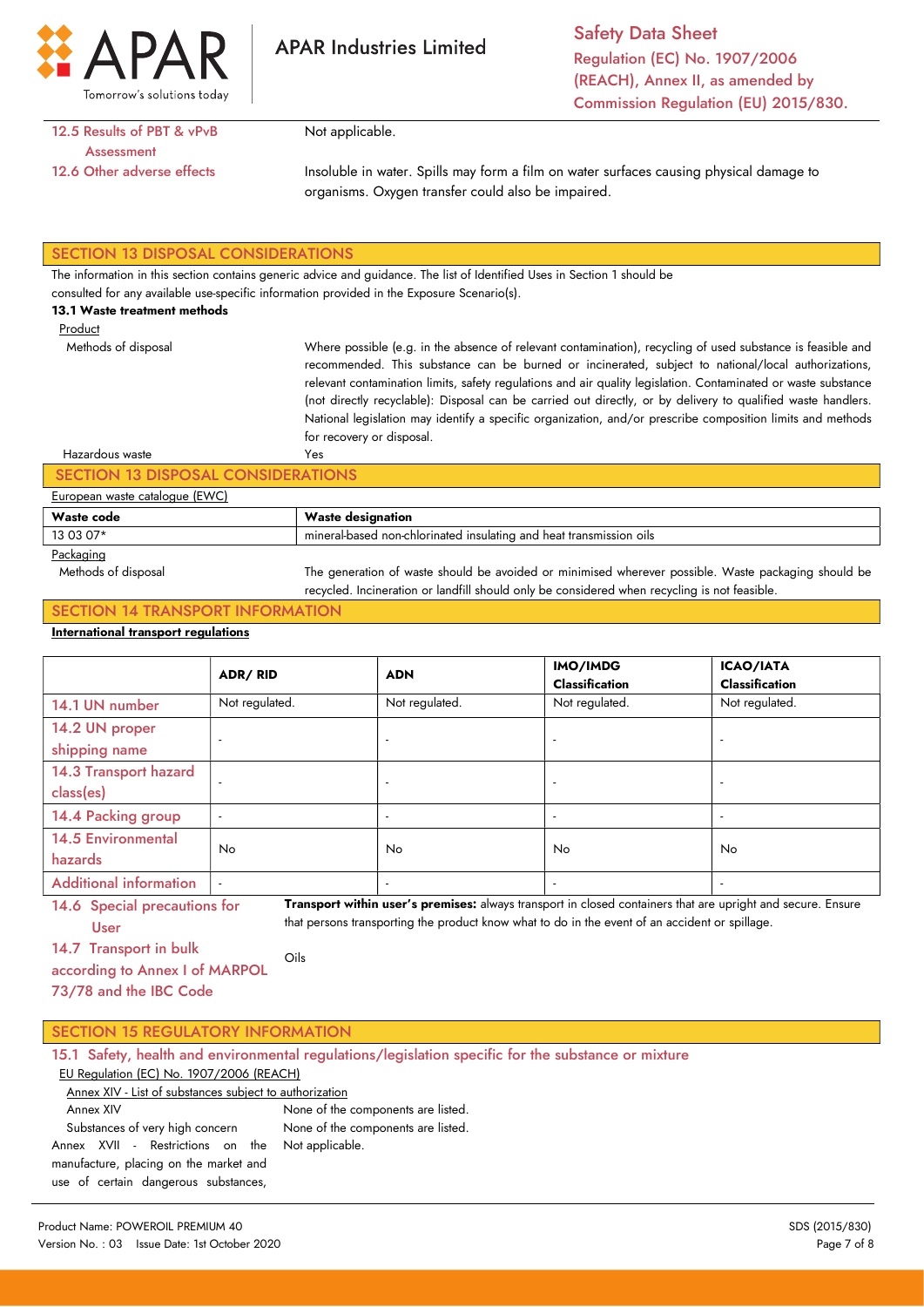

Safety Data Sheet Regulation (EC) No. 1907/2006 (REACH), Annex II, as amended by Commission Regulation (EU) 2015/830.

### 12.5 Results of PBT & vPvB **Assessment** 12.6 Other adverse effects

Not applicable.

**APAR Industries Limited** 

Insoluble in water. Spills may form a film on water surfaces causing physical damage to organisms. Oxygen transfer could also be impaired.

#### SECTION 13 DISPOSAL CONSIDERATIONS

The information in this section contains generic advice and guidance. The list of Identified Uses in Section 1 should be

consulted for any available use-specific information provided in the Exposure Scenario(s).

#### 13.1 Waste treatment methods

Methods of disposal

Product

Where possible (e.g. in the absence of relevant contamination), recycling of used substance is feasible and recommended. This substance can be burned or incinerated, subject to national/local authorizations, relevant contamination limits, safety regulations and air quality legislation. Contaminated or waste substance (not directly recyclable): Disposal can be carried out directly, or by delivery to qualified waste handlers. National legislation may identify a specific organization, and/or prescribe composition limits and methods for recovery or disposal. Yes

### Hazardous waste

### SECTION 13 DISPOSAL CONSIDERATIONS

#### European waste catalogue (EWC)

| .<br>__________ |                                                                                         |  |
|-----------------|-----------------------------------------------------------------------------------------|--|
| Waste code      | w<br>Vaste<br>designation                                                               |  |
| 13 03 07*       | , insulating and<br>l non-chlorinated.<br>l heat transmission oils.<br>minera<br>-hased |  |
| $\sim$          |                                                                                         |  |

#### Packaging

 Methods of disposal The generation of waste should be avoided or minimised wherever possible. Waste packaging should be recycled. Incineration or landfill should only be considered when recycling is not feasible.

### SECTION 14 TRANSPORT INFORMATION

#### International transport regulations

|                                      | ADR/RID                  | <b>ADN</b>               | IMO/IMDG<br><b>Classification</b> | <b>ICAO/IATA</b><br><b>Classification</b> |
|--------------------------------------|--------------------------|--------------------------|-----------------------------------|-------------------------------------------|
| 14.1 UN number                       | Not regulated.           | Not regulated.           | Not regulated.                    | Not regulated.                            |
| 14.2 UN proper<br>shipping name      | $\overline{\phantom{a}}$ | $\overline{\phantom{a}}$ |                                   |                                           |
| 14.3 Transport hazard<br>class(es)   | $\overline{a}$           |                          |                                   | $\overline{\phantom{a}}$                  |
| 14.4 Packing group                   | $\overline{\phantom{a}}$ | $\overline{\phantom{a}}$ |                                   |                                           |
| <b>14.5 Environmental</b><br>hazards | No.                      | <b>No</b>                | No.                               | No.                                       |
| <b>Additional information</b>        | $\overline{a}$           | $\overline{\phantom{a}}$ |                                   | $\overline{\phantom{a}}$                  |

14.6 Special precautions for User Transport within user's premises: always transport in closed containers that are upright and secure. Ensure that persons transporting the product know what to do in the event of an accident or spillage.

14.7 Transport in bulk

according to Annex I of MARPOL 73/78 and the IBC Code Oils

## SECTION 15 REGULATORY INFORMATION

| 15.1 Safety, health and environmental regulations/legislation specific for the substance or mixture |                                    |  |  |
|-----------------------------------------------------------------------------------------------------|------------------------------------|--|--|
| EU Regulation (EC) No. 1907/2006 (REACH)                                                            |                                    |  |  |
| Annex XIV - List of substances subject to authorization                                             |                                    |  |  |
| Annex XIV                                                                                           | None of the components are listed. |  |  |
| Substances of very high concern                                                                     | None of the components are listed. |  |  |
| Annex XVII - Restrictions on the                                                                    | Not applicable.                    |  |  |
| manufacture, placing on the market and                                                              |                                    |  |  |
| use of certain dangerous substances,                                                                |                                    |  |  |